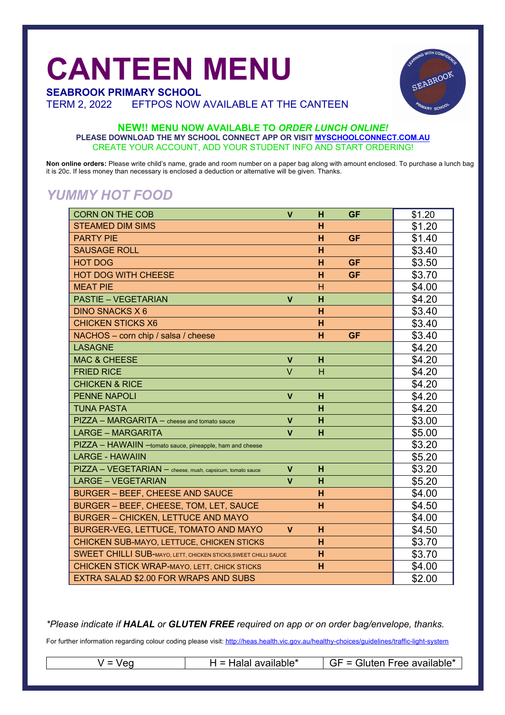## **CANTEEN MENU**



TERM 2, 2022 EFTPOS NOW AVAILABLE AT THE CANTEEN

# EABROOY

#### **NEW!! MENU NOW AVAILABLE TO** *ORDER LUNCH ONLINE!* **PLEASE DOWNLOAD THE MY SCHOOL CONNECT APP OR VISIT MYSCHOOLCONNECT.COM.AU** CREATE YOUR ACCOUNT, ADD YOUR STUDENT INFO AND START ORDERING!

**Non online orders:** Please write child's name, grade and room number on a paper bag along with amount enclosed. To purchase a lunch bag it is 20c. If less money than necessary is enclosed a deduction or alternative will be given. Thanks.

#### *YUMMY HOT FOOD*

| <b>CORN ON THE COB</b>                                          | V            | н | <b>GF</b> | \$1.20 |
|-----------------------------------------------------------------|--------------|---|-----------|--------|
| <b>STEAMED DIM SIMS</b>                                         |              | н |           | \$1.20 |
| <b>PARTY PIE</b>                                                |              | н | <b>GF</b> | \$1.40 |
| <b>SAUSAGE ROLL</b>                                             |              | н |           | \$3.40 |
| <b>HOT DOG</b>                                                  |              | H | <b>GF</b> | \$3.50 |
| <b>HOT DOG WITH CHEESE</b>                                      |              | н | <b>GF</b> | \$3.70 |
| <b>MEAT PIE</b>                                                 |              | н |           | \$4.00 |
| <b>PASTIE - VEGETARIAN</b>                                      | $\mathbf v$  | H |           | \$4.20 |
| <b>DINO SNACKS X 6</b>                                          |              | н |           | \$3.40 |
| <b>CHICKEN STICKS X6</b>                                        |              | н |           | \$3.40 |
| NACHOS - corn chip / salsa / cheese                             |              | н | <b>GF</b> | \$3.40 |
| <b>LASAGNE</b>                                                  |              |   |           | \$4.20 |
| <b>MAC &amp; CHEESE</b>                                         | $\mathbf{V}$ | н |           | \$4.20 |
| <b>FRIED RICE</b>                                               | $\vee$       | н |           | \$4.20 |
| <b>CHICKEN &amp; RICE</b>                                       |              |   |           | \$4.20 |
| <b>PENNE NAPOLI</b>                                             | $\mathbf v$  | н |           | \$4.20 |
| <b>TUNA PASTA</b>                                               |              | н |           | \$4.20 |
| PIZZA - MARGARITA - cheese and tomato sauce                     | $\mathbf v$  | н |           | \$3.00 |
| <b>LARGE - MARGARITA</b>                                        | V            | н |           | \$5.00 |
| PIZZA - HAWAIIN - tomato sauce, pineapple, ham and cheese       |              |   |           | \$3.20 |
| <b>LARGE - HAWAIIN</b>                                          |              |   |           | \$5.20 |
| PIZZA - VEGETARIAN - cheese, mush, capsicum, tomato sauce       | $\mathbf v$  | н |           | \$3.20 |
| <b>LARGE - VEGETARIAN</b>                                       | $\mathbf v$  | н |           | \$5.20 |
| <b>BURGER - BEEF, CHEESE AND SAUCE</b>                          |              | н |           | \$4.00 |
| BURGER - BEEF, CHEESE, TOM, LET, SAUCE                          |              | н |           | \$4.50 |
| <b>BURGER - CHICKEN, LETTUCE AND MAYO</b>                       |              |   |           | \$4.00 |
| BURGER-VEG, LETTUCE, TOMATO AND MAYO                            | V            | н |           | \$4.50 |
| CHICKEN SUB-MAYO, LETTUCE, CHICKEN STICKS                       |              | н |           | \$3.70 |
| SWEET CHILLI SUB-MAYO, LETT, CHICKEN STICKS, SWEET CHILLI SAUCE |              | н |           | \$3.70 |
| <b>CHICKEN STICK WRAP-MAYO, LETT, CHICK STICKS</b>              |              | н |           | \$4.00 |
| EXTRA SALAD \$2.00 FOR WRAPS AND SUBS                           |              |   |           | \$2.00 |

*\*Please indicate if HALAL or GLUTEN FREE required on app or on order bag/envelope, thanks.*

For further information regarding colour coding please visit: http://heas.health.vic.gov.au/healthy-choices/quidelines/traffic-light-system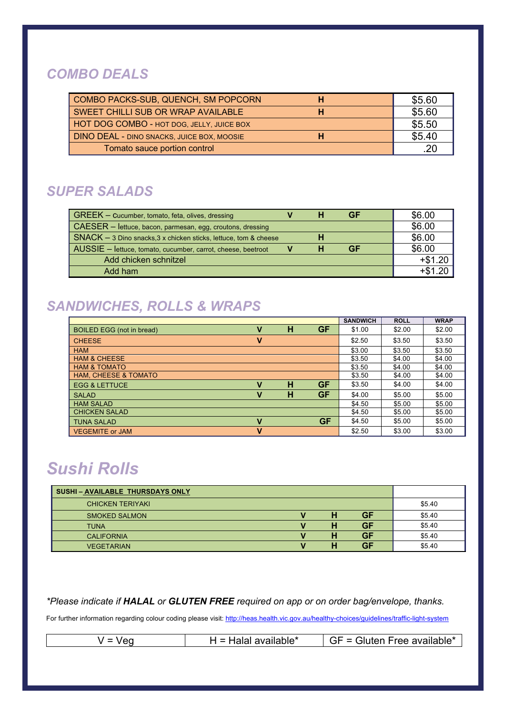#### *COMBO DEALS*

| COMBO PACKS-SUB, QUENCH, SM POPCORN<br>н          | \$5.60 |
|---------------------------------------------------|--------|
| SWEET CHILLI SUB OR WRAP AVAILABLE                | \$5.60 |
| HOT DOG COMBO - HOT DOG, JELLY, JUICE BOX         | \$5.50 |
| <b>DINO DEAL - DINO SNACKS, JUICE BOX, MOOSIE</b> | \$5.40 |
| Tomato sauce portion control                      | .20    |

#### *SUPER SALADS*

| GREEK - Cucumber, tomato, feta, olives, dressing                 |  | GF | \$6.00    |
|------------------------------------------------------------------|--|----|-----------|
| CAESER - lettuce, bacon, parmesan, egg, croutons, dressing       |  |    | \$6.00    |
| SNACK - 3 Dino snacks, 3 x chicken sticks, lettuce, tom & cheese |  |    | \$6.00    |
| AUSSIE - lettuce, tomato, cucumber, carrot, cheese, beetroot     |  | GF | \$6.00    |
| Add chicken schnitzel                                            |  |    | $+ $1.20$ |
| Add ham                                                          |  |    | $+ $1.20$ |

#### *SANDWICHES, ROLLS & WRAPS*

|                                  |   |   |           | <b>SANDWICH</b> | <b>ROLL</b> | <b>WRAP</b> |
|----------------------------------|---|---|-----------|-----------------|-------------|-------------|
| <b>BOILED EGG (not in bread)</b> |   | н | GF        | \$1.00          | \$2.00      | \$2.00      |
| <b>CHEESE</b>                    | v |   |           | \$2.50          | \$3.50      | \$3.50      |
| <b>HAM</b>                       |   |   |           | \$3.00          | \$3.50      | \$3.50      |
| <b>HAM &amp; CHEESE</b>          |   |   |           | \$3.50          | \$4.00      | \$4.00      |
| <b>HAM &amp; TOMATO</b>          |   |   |           | \$3.50          | \$4.00      | \$4.00      |
| <b>HAM, CHEESE &amp; TOMATO</b>  |   |   |           | \$3.50          | \$4.00      | \$4.00      |
| <b>EGG &amp; LETTUCE</b>         | v | н | <b>GF</b> | \$3.50          | \$4.00      | \$4.00      |
| <b>SALAD</b>                     | v | н | GF        | \$4.00          | \$5.00      | \$5.00      |
| <b>HAM SALAD</b>                 |   |   |           | \$4.50          | \$5.00      | \$5.00      |
| <b>CHICKEN SALAD</b>             |   |   |           | \$4.50          | \$5.00      | \$5.00      |
| <b>TUNA SALAD</b>                | v |   | GF        | \$4.50          | \$5.00      | \$5.00      |
| <b>VEGEMITE or JAM</b>           | v |   |           | \$2.50          | \$3.00      | \$3.00      |

### *Sushi Rolls*

| <b>SUSHI-AVAILABLE THURSDAYS ONLY</b> |  |    |        |
|---------------------------------------|--|----|--------|
| <b>CHICKEN TERIYAKI</b>               |  |    | \$5.40 |
| <b>SMOKED SALMON</b>                  |  | GF | \$5.40 |
| <b>TUNA</b>                           |  | GF | \$5.40 |
| <b>CALIFORNIA</b>                     |  | GF | \$5.40 |
| <b>VEGETARIAN</b>                     |  | GF | \$5.40 |

*\*Please indicate if HALAL or GLUTEN FREE required on app or on order bag/envelope, thanks.*

For further information regarding colour coding please visit: http://heas.health.vic.gov.au/healthy-choices/guidelines/traffic-light-system

|  |  | $H =$ Halal available* | Gluten Free available* |
|--|--|------------------------|------------------------|
|--|--|------------------------|------------------------|